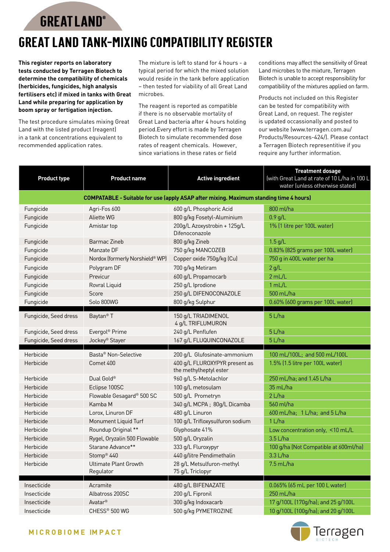**GREATLAND®** 

## **Great Land Tank-Mixing Compatibility Register**

**This register reports on laboratory tests conducted by Terragen Biotech to determine the compatibility of chemicals (herbicides, fungicides, high analysis fertilisers etc) if mixed in tanks with Great Land while preparing for application by boom spray or fertigation injection.**

The test procedure simulates mixing Great Land with the listed product (reagent) in a tank at concentrations equivalent to recommended application rates.

The mixture is left to stand for 4 hours - a typical period for which the mixed solution would reside in the tank before application – then tested for viability of all Great Land microbes.

The reagent is reported as compatible if there is no observable mortality of Great Land bacteria after 4 hours holding period.Every effort is made by Terragen Biotech to simulate recommended dose rates of reagent chemicals. However, since variations in these rates or field

conditions may affect the sensitivity of Great Land microbes to the mixture, Terragen Biotech is unable to accept responsibility for compatibility of the mixtures applied on farm.

Products not included on this Register can be tested for compatibility with Great Land, on request. The register is updated occassionally and posted to our website (www.terragen.com.au/ Products/Resources-424/). Please contact a Terragen Biotech representitive if you require any further information.

| <b>Product type</b>                                                                           | <b>Product name</b>                | <b>Active ingredient</b>                                | <b>Treatment dosage</b><br>(with Great Land at rate of 10 L/ha in 100 L<br>water (unless otherwise stated) |  |  |
|-----------------------------------------------------------------------------------------------|------------------------------------|---------------------------------------------------------|------------------------------------------------------------------------------------------------------------|--|--|
| <b>COMPATABLE - Suitable for use (apply ASAP after mixing. Maximum standing time 4 hours)</b> |                                    |                                                         |                                                                                                            |  |  |
| Fungicide                                                                                     | Agri-Fos 600                       | 600 g/L Phosphoric Acid                                 | 800 ml/ha                                                                                                  |  |  |
| Fungicide                                                                                     | <b>Aliette WG</b>                  | 800 g/kg Fosetyl-Aluminium                              | $0.9$ g/L                                                                                                  |  |  |
| Fungicide                                                                                     | Amistar top                        | 200g/L Azoxystrobin + 125g/L<br>Difenoconazole          | 1% (1 litre per 100L water)                                                                                |  |  |
| Fungicide                                                                                     | <b>Barmac Zineb</b>                | 800 g/kg Zineb                                          | $1.5$ g/L                                                                                                  |  |  |
| Fungicide                                                                                     | Manzate DF                         | 750 g/kg MANCOZEB                                       | 0.83% (825 grams per 100L water)                                                                           |  |  |
| Fungicide                                                                                     | Nordox (formerly Norshield® WP)    | Copper oxide 750g/kg (Cu)                               | 750 g in 400L water per ha                                                                                 |  |  |
| Fungicide                                                                                     | Polygram DF                        | 700 g/kg Metiram                                        | 2 g/L                                                                                                      |  |  |
| Fungicide                                                                                     | Previcur                           | 600 g/L Propamocarb                                     | 2 mL/L                                                                                                     |  |  |
| Fungicide                                                                                     | Rovral Liquid                      | 250 g/L Iprodione                                       | 1 mL/L                                                                                                     |  |  |
| Fungicide                                                                                     | Score                              | 250 g/L DIFENOCONAZOLE                                  | 500 mL/ha                                                                                                  |  |  |
| Fungicide                                                                                     | Solo 800WG                         | 800 g/kg Sulphur                                        | 0.60% (600 grams per 100L water)                                                                           |  |  |
| Fungicide, Seed dress                                                                         | Baytan <sup>®</sup> T              | 150 g/L TRIADIMENOL<br>4 g/L TRIFLUMURON                | 5 L/ha                                                                                                     |  |  |
| Fungicide, Seed dress                                                                         | Evergol <sup>®</sup> Prime         | 240 g/L Penflufen                                       | 5 L/ha                                                                                                     |  |  |
| Fungicide, Seed dress                                                                         | Jockey <sup>®</sup> Stayer         | 167 g/L FLUQUINCONAZOLE                                 | 5 L/ha                                                                                                     |  |  |
| Herbicide                                                                                     | Basta <sup>®</sup> Non-Selective   | 200 g/L Glufosinate-ammonium                            | 100 mL/100L; and 500 mL/100L                                                                               |  |  |
| Herbicide                                                                                     | Comet 400                          | 400 g/L FLUROXYPYR present as<br>the methylheptyl ester | 1.5% (1.5 litre per 100L water)                                                                            |  |  |
| Herbicide                                                                                     | Dual Gold®                         | 960 g/L S-Metolachlor                                   | 250 mL/ha; and 1.45 L/ha                                                                                   |  |  |
| Herbicide                                                                                     | Eclipse 100SC                      | 100 g/L metosulam                                       | 35 mL/ha                                                                                                   |  |  |
| Herbicide                                                                                     | Flowable Gesagard® 500 SC          | 500 g/L Prometryn                                       | 2 L/ha                                                                                                     |  |  |
| Herbicide                                                                                     | Kamba M                            | 340 g/L MCPA; 80g/L Dicamba                             | 560 ml/ha                                                                                                  |  |  |
| Herbicide                                                                                     | Lorox, Linuron DF                  | 480 g/L Linuron                                         | 600 mL/ha; 1 L/ha; and 5 L/ha                                                                              |  |  |
| Herbicide                                                                                     | Monument Liquid Turf               | 100 g/L Trifloxysulfuron sodium                         | 1 L/ha                                                                                                     |  |  |
| Herbicide                                                                                     | Roundup Original **                | Glyphosate 41%                                          | Low concentration only, <10 mL/L                                                                           |  |  |
| Herbicide                                                                                     | Rygel, Oryzalin 500 Flowable       | 500 g/L Oryzalin                                        | $3.5$ L/ha                                                                                                 |  |  |
| Herbicide                                                                                     | Starane Advance**                  | 333 g/L Fluroxypyr                                      | 100 g/ha (Not Compatible at 600ml/ha)                                                                      |  |  |
| Herbicide                                                                                     | Stomp <sup>®</sup> 440             | 440 g/litre Pendimethalin                               | 3.3 L/ha                                                                                                   |  |  |
| Herbicide                                                                                     | Ultimate Plant Growth<br>Regulator | 28 g/L Metsulfuron-methyl<br>75 g/L Triclopyr           | $7.5$ mL/ha                                                                                                |  |  |
| Insecticide                                                                                   | Acramite                           | 480 g/L BIFENAZATE                                      | 0.065% (65 mL per 100 L water)                                                                             |  |  |
| Insecticide                                                                                   | Albatross 200SC                    | 200 g/L Fipronil                                        | 250 mL/ha                                                                                                  |  |  |
| Insecticide                                                                                   | Avatar <sup>®</sup>                | 300 g/kg Indoxacarb                                     | 17 g/100L (170g/ha); and 25 g/100L                                                                         |  |  |
| Insecticide                                                                                   | CHESS® 500 WG                      | 500 g/kg PYMETROZINE                                    | 10 g/100L (100g/ha); and 20 g/100L                                                                         |  |  |

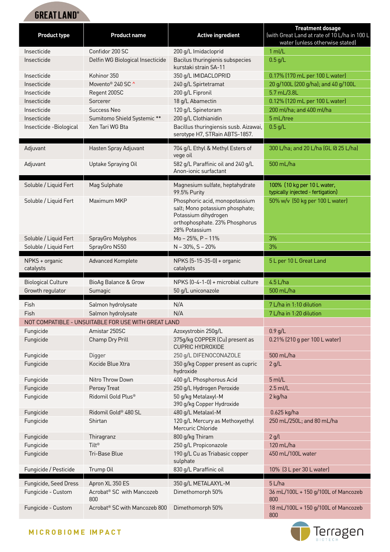## **GREATLAND®**

| Insecticide<br>Confidor 200 SC<br>200 g/L Imidacloprid<br>$1$ ml/L<br>Insecticide<br>Delfin WG Biological Insecticide<br>Bacilus thuringienis subspecies<br>$0.5$ g/L<br>kurstaki strain SA-11<br>Kohinor 350<br>0.17% (170 mL per 100 L water)<br>Insecticide<br>350 g/L IMIDACLOPRID<br>20 g/100L (200 g/ha); and 40 g/100L<br>Movento <sup>®</sup> 240 SC ^<br>Insecticide<br>240 g/L Spirtetramat<br>200 g/L Fipronil<br>5.7 mL/3.8L<br>Insecticide<br>Regent 200SC<br>18 g/L Abamectin<br>0.12% (120 mL per 100 L water)<br>Insecticide<br>Sorcerer<br>120 g/L Spinetoram<br>Insecticide<br>Success Neo<br>200 ml/ha; and 400 ml/ha<br>200 g/L Clothianidin<br>5 mL/tree<br>Insecticide<br>Sumitomo Shield Systemic **<br>Xen Tari WG Bta<br>Bacillus thuringiensis susb. Aizawai,<br>$0.5$ g/L<br>Insecticide -Biological<br>serotype H7, STRain ABTS-1857.<br>Hasten Spray Adjuvant<br>704 g/L Ethyl & Methyl Esters of<br>300 L/ha; and 20 L/ha (GL @ 25 L/ha)<br>Adjuvant<br>vege oil<br>Uptake Spraying Oil<br>582 g/L Paraffinic oil and 240 g/L<br>500 mL/ha<br>Adjuvant<br>Anon-ionic surfactant<br>Soluble / Liquid Fert<br>100% (10 kg per 10 L water,<br>Mag Sulphate<br>Magnesium sulfate, heptahydrate<br>99.5% Purity<br>typically injected - fertigation)<br>50% w/v (50 kg per 100 L water)<br>Soluble / Liquid Fert<br>Maximum MKP<br>Phosphoric acid, monopotassium<br>salt; Mono potassium phosphate;<br>Potassium dihydrogen<br>orthophosphate. 23% Phosphorus<br>28% Potassium |
|----------------------------------------------------------------------------------------------------------------------------------------------------------------------------------------------------------------------------------------------------------------------------------------------------------------------------------------------------------------------------------------------------------------------------------------------------------------------------------------------------------------------------------------------------------------------------------------------------------------------------------------------------------------------------------------------------------------------------------------------------------------------------------------------------------------------------------------------------------------------------------------------------------------------------------------------------------------------------------------------------------------------------------------------------------------------------------------------------------------------------------------------------------------------------------------------------------------------------------------------------------------------------------------------------------------------------------------------------------------------------------------------------------------------------------------------------------------------------------------------------------|
|                                                                                                                                                                                                                                                                                                                                                                                                                                                                                                                                                                                                                                                                                                                                                                                                                                                                                                                                                                                                                                                                                                                                                                                                                                                                                                                                                                                                                                                                                                          |
|                                                                                                                                                                                                                                                                                                                                                                                                                                                                                                                                                                                                                                                                                                                                                                                                                                                                                                                                                                                                                                                                                                                                                                                                                                                                                                                                                                                                                                                                                                          |
|                                                                                                                                                                                                                                                                                                                                                                                                                                                                                                                                                                                                                                                                                                                                                                                                                                                                                                                                                                                                                                                                                                                                                                                                                                                                                                                                                                                                                                                                                                          |
|                                                                                                                                                                                                                                                                                                                                                                                                                                                                                                                                                                                                                                                                                                                                                                                                                                                                                                                                                                                                                                                                                                                                                                                                                                                                                                                                                                                                                                                                                                          |
|                                                                                                                                                                                                                                                                                                                                                                                                                                                                                                                                                                                                                                                                                                                                                                                                                                                                                                                                                                                                                                                                                                                                                                                                                                                                                                                                                                                                                                                                                                          |
|                                                                                                                                                                                                                                                                                                                                                                                                                                                                                                                                                                                                                                                                                                                                                                                                                                                                                                                                                                                                                                                                                                                                                                                                                                                                                                                                                                                                                                                                                                          |
|                                                                                                                                                                                                                                                                                                                                                                                                                                                                                                                                                                                                                                                                                                                                                                                                                                                                                                                                                                                                                                                                                                                                                                                                                                                                                                                                                                                                                                                                                                          |
|                                                                                                                                                                                                                                                                                                                                                                                                                                                                                                                                                                                                                                                                                                                                                                                                                                                                                                                                                                                                                                                                                                                                                                                                                                                                                                                                                                                                                                                                                                          |
|                                                                                                                                                                                                                                                                                                                                                                                                                                                                                                                                                                                                                                                                                                                                                                                                                                                                                                                                                                                                                                                                                                                                                                                                                                                                                                                                                                                                                                                                                                          |
|                                                                                                                                                                                                                                                                                                                                                                                                                                                                                                                                                                                                                                                                                                                                                                                                                                                                                                                                                                                                                                                                                                                                                                                                                                                                                                                                                                                                                                                                                                          |
|                                                                                                                                                                                                                                                                                                                                                                                                                                                                                                                                                                                                                                                                                                                                                                                                                                                                                                                                                                                                                                                                                                                                                                                                                                                                                                                                                                                                                                                                                                          |
|                                                                                                                                                                                                                                                                                                                                                                                                                                                                                                                                                                                                                                                                                                                                                                                                                                                                                                                                                                                                                                                                                                                                                                                                                                                                                                                                                                                                                                                                                                          |
|                                                                                                                                                                                                                                                                                                                                                                                                                                                                                                                                                                                                                                                                                                                                                                                                                                                                                                                                                                                                                                                                                                                                                                                                                                                                                                                                                                                                                                                                                                          |
|                                                                                                                                                                                                                                                                                                                                                                                                                                                                                                                                                                                                                                                                                                                                                                                                                                                                                                                                                                                                                                                                                                                                                                                                                                                                                                                                                                                                                                                                                                          |
|                                                                                                                                                                                                                                                                                                                                                                                                                                                                                                                                                                                                                                                                                                                                                                                                                                                                                                                                                                                                                                                                                                                                                                                                                                                                                                                                                                                                                                                                                                          |
| Soluble / Liquid Fert<br>Mo - 25%, P - 11%<br>3%<br>SprayGro Molyphos                                                                                                                                                                                                                                                                                                                                                                                                                                                                                                                                                                                                                                                                                                                                                                                                                                                                                                                                                                                                                                                                                                                                                                                                                                                                                                                                                                                                                                    |
| Soluble / Liquid Fert<br>SprayGro NS50<br>$N - 30\%$ , S - 20%<br>3%                                                                                                                                                                                                                                                                                                                                                                                                                                                                                                                                                                                                                                                                                                                                                                                                                                                                                                                                                                                                                                                                                                                                                                                                                                                                                                                                                                                                                                     |
| NPKS + organic<br>NPKS (5-15-35-0) + organic<br>5 L per 10 L Great Land<br>Advanced Komplete<br>catalysts<br>catalysts                                                                                                                                                                                                                                                                                                                                                                                                                                                                                                                                                                                                                                                                                                                                                                                                                                                                                                                                                                                                                                                                                                                                                                                                                                                                                                                                                                                   |
| NPKS (0-4-1-0) + microbial culture<br>$4.5$ L/ha<br><b>Biological Culture</b><br><b>BioAg Balance &amp; Grow</b>                                                                                                                                                                                                                                                                                                                                                                                                                                                                                                                                                                                                                                                                                                                                                                                                                                                                                                                                                                                                                                                                                                                                                                                                                                                                                                                                                                                         |
| Growth regulator<br>50 g/L uniconazole<br>500 mL/ha<br>Sumagic                                                                                                                                                                                                                                                                                                                                                                                                                                                                                                                                                                                                                                                                                                                                                                                                                                                                                                                                                                                                                                                                                                                                                                                                                                                                                                                                                                                                                                           |
| 7 L/ha in 1:10 dilution                                                                                                                                                                                                                                                                                                                                                                                                                                                                                                                                                                                                                                                                                                                                                                                                                                                                                                                                                                                                                                                                                                                                                                                                                                                                                                                                                                                                                                                                                  |
| Salmon hydrolysate<br>Fish<br>N/A<br>N/A<br>Fish<br>Salmon hydrolysate<br>7 L/ha in 1:20 dilution                                                                                                                                                                                                                                                                                                                                                                                                                                                                                                                                                                                                                                                                                                                                                                                                                                                                                                                                                                                                                                                                                                                                                                                                                                                                                                                                                                                                        |
| NOT COMPATIBLE - UNSUITABLE FOR USE WITH GREAT LAND                                                                                                                                                                                                                                                                                                                                                                                                                                                                                                                                                                                                                                                                                                                                                                                                                                                                                                                                                                                                                                                                                                                                                                                                                                                                                                                                                                                                                                                      |
| Azoxystrobin 250g/L<br>$0.9$ g/L<br>Fungicide<br>Amistar 250SC                                                                                                                                                                                                                                                                                                                                                                                                                                                                                                                                                                                                                                                                                                                                                                                                                                                                                                                                                                                                                                                                                                                                                                                                                                                                                                                                                                                                                                           |
| 375q/kg COPPER (Cu) present as<br>0.21% (210 g per 100 L water)<br>Fungicide<br>Champ Dry Prill<br><b>CUPRIC HYDROXIDE</b>                                                                                                                                                                                                                                                                                                                                                                                                                                                                                                                                                                                                                                                                                                                                                                                                                                                                                                                                                                                                                                                                                                                                                                                                                                                                                                                                                                               |
| 250 g/L DIFENOCONAZOLE<br>500 mL/ha<br>Fungicide<br>Digger                                                                                                                                                                                                                                                                                                                                                                                                                                                                                                                                                                                                                                                                                                                                                                                                                                                                                                                                                                                                                                                                                                                                                                                                                                                                                                                                                                                                                                               |
| 350 g/kg Copper present as cupric<br>2 g/L<br>Fungicide<br>Kocide Blue Xtra<br>hydroxide                                                                                                                                                                                                                                                                                                                                                                                                                                                                                                                                                                                                                                                                                                                                                                                                                                                                                                                                                                                                                                                                                                                                                                                                                                                                                                                                                                                                                 |
| 400 g/L Phosphorous Acid<br>$5$ ml/L<br>Fungicide<br>Nitro Throw Down                                                                                                                                                                                                                                                                                                                                                                                                                                                                                                                                                                                                                                                                                                                                                                                                                                                                                                                                                                                                                                                                                                                                                                                                                                                                                                                                                                                                                                    |
| 250 g/L Hydrogen Peroxide<br>$2.5$ ml/L<br>Fungicide<br>Peroxy Treat                                                                                                                                                                                                                                                                                                                                                                                                                                                                                                                                                                                                                                                                                                                                                                                                                                                                                                                                                                                                                                                                                                                                                                                                                                                                                                                                                                                                                                     |
| Ridomil Gold Plus®<br>50 g/kg Metalaxyl-M<br>Fungicide<br>2 kg/ha<br>390 g/kg Copper Hydroxide                                                                                                                                                                                                                                                                                                                                                                                                                                                                                                                                                                                                                                                                                                                                                                                                                                                                                                                                                                                                                                                                                                                                                                                                                                                                                                                                                                                                           |
| 480 g/L Metalaxl-M<br>Ridomil Gold® 480 SL<br>0.625 kg/ha<br>Fungicide                                                                                                                                                                                                                                                                                                                                                                                                                                                                                                                                                                                                                                                                                                                                                                                                                                                                                                                                                                                                                                                                                                                                                                                                                                                                                                                                                                                                                                   |
| 120 g/L Mercury as Methoxyethyl<br>250 mL/250L; and 80 mL/ha<br>Fungicide<br>Shirtan<br>Mercuric Chloride                                                                                                                                                                                                                                                                                                                                                                                                                                                                                                                                                                                                                                                                                                                                                                                                                                                                                                                                                                                                                                                                                                                                                                                                                                                                                                                                                                                                |
| 2 g/l<br>Fungicide<br>800 g/kg Thiram<br>Thiragranz                                                                                                                                                                                                                                                                                                                                                                                                                                                                                                                                                                                                                                                                                                                                                                                                                                                                                                                                                                                                                                                                                                                                                                                                                                                                                                                                                                                                                                                      |
| Tilt®<br>Fungicide<br>250 g/L Propiconazole<br>120 mL/ha                                                                                                                                                                                                                                                                                                                                                                                                                                                                                                                                                                                                                                                                                                                                                                                                                                                                                                                                                                                                                                                                                                                                                                                                                                                                                                                                                                                                                                                 |
| 190 g/L Cu as Triabasic copper<br>Fungicide<br>Tri-Base Blue<br>450 mL/100L water<br>sulphate                                                                                                                                                                                                                                                                                                                                                                                                                                                                                                                                                                                                                                                                                                                                                                                                                                                                                                                                                                                                                                                                                                                                                                                                                                                                                                                                                                                                            |
| 830 g/L Paraffinic oil<br>10% (3 L per 30 L water)<br>Fungicide / Pesticide<br>Trump Oil                                                                                                                                                                                                                                                                                                                                                                                                                                                                                                                                                                                                                                                                                                                                                                                                                                                                                                                                                                                                                                                                                                                                                                                                                                                                                                                                                                                                                 |
| 350 g/L METALAXYL-M<br>5 L/ha<br>Fungicide, Seed Dress<br>Apron XL 350 ES                                                                                                                                                                                                                                                                                                                                                                                                                                                                                                                                                                                                                                                                                                                                                                                                                                                                                                                                                                                                                                                                                                                                                                                                                                                                                                                                                                                                                                |
| Acrobat <sup>®</sup> SC with Mancozeb<br>Dimethomorph 50%<br>36 mL/100L + 150 g/100L of Mancozeb<br>Fungicide - Custom<br>800<br>800                                                                                                                                                                                                                                                                                                                                                                                                                                                                                                                                                                                                                                                                                                                                                                                                                                                                                                                                                                                                                                                                                                                                                                                                                                                                                                                                                                     |
| Acrobat <sup>®</sup> SC with Mancozeb 800<br>18 mL/100L + 150 g/100L of Mancozeb<br>Fungicide - Custom<br>Dimethomorph 50%                                                                                                                                                                                                                                                                                                                                                                                                                                                                                                                                                                                                                                                                                                                                                                                                                                                                                                                                                                                                                                                                                                                                                                                                                                                                                                                                                                               |